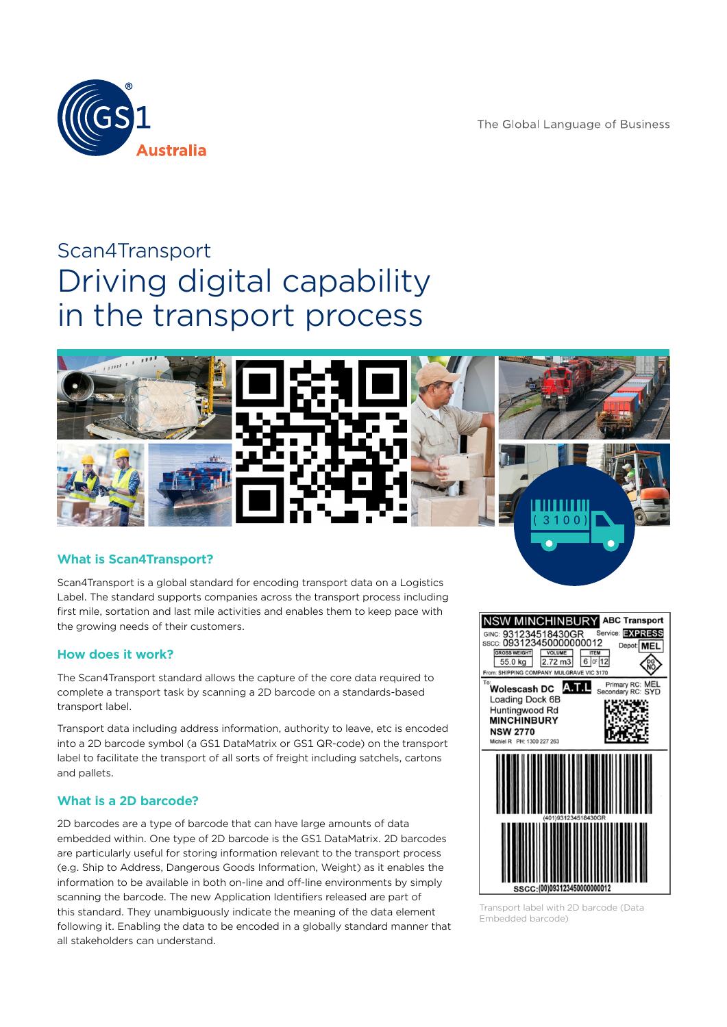The Global Language of Business



# Scan4Transport Driving digital capability in the transport process



# **What is Scan4Transport?**

Scan4Transport is a global standard for encoding transport data on a Logistics Label. The standard supports companies across the transport process including first mile, sortation and last mile activities and enables them to keep pace with the growing needs of their customers.

## **How does it work?**

The Scan4Transport standard allows the capture of the core data required to complete a transport task by scanning a 2D barcode on a standards-based transport label.

Transport data including address information, authority to leave, etc is encoded into a 2D barcode symbol (a GS1 DataMatrix or GS1 QR-code) on the transport label to facilitate the transport of all sorts of freight including satchels, cartons and pallets.

## **What is a 2D barcode?**

2D barcodes are a type of barcode that can have large amounts of data embedded within. One type of 2D barcode is the GS1 DataMatrix. 2D barcodes are particularly useful for storing information relevant to the transport process (e.g. Ship to Address, Dangerous Goods Information, Weight) as it enables the information to be available in both on-line and off-line environments by simply scanning the barcode. The new Application Identifiers released are part of this standard. They unambiguously indicate the meaning of the data element following it. Enabling the data to be encoded in a globally standard manner that all stakeholders can understand.



Transport label with 2D barcode (Data Embedded barcode)